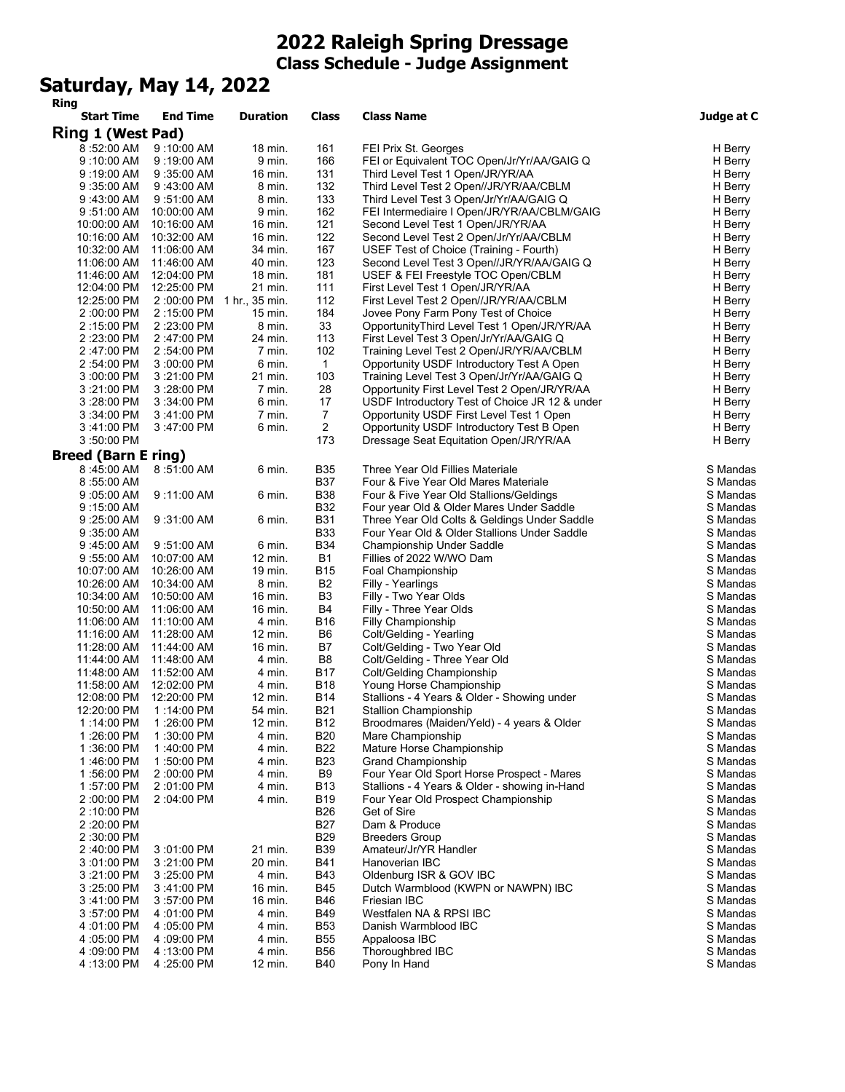## **2022 Raleigh Spring Dressage Class Schedule - Judge Assignment**

## **Saturday, May 14, 2022**

| Ring                         |                          |                     |                          |                                                                                          |                      |
|------------------------------|--------------------------|---------------------|--------------------------|------------------------------------------------------------------------------------------|----------------------|
| <b>Start Time</b>            | <b>End Time</b>          | <b>Duration</b>     | Class                    | <b>Class Name</b>                                                                        | Judge at C           |
| Ring 1 (West Pad)            |                          |                     |                          |                                                                                          |                      |
| 8:52:00 AM                   | 9:10:00 AM               | 18 min.             | 161                      | FEI Prix St. Georges                                                                     | H Berry              |
| $9:10:00$ AM                 | $9:19:00$ AM             | 9 min.              | 166                      | FEI or Equivalent TOC Open/Jr/Yr/AA/GAIG Q                                               | H Berry              |
| $9:19:00$ AM                 | $9:35:00$ AM             | 16 min.             | 131                      | Third Level Test 1 Open/JR/YR/AA                                                         | H Berry              |
| $9:35:00$ AM                 | $9:43:00$ AM             | 8 min.              | 132                      | Third Level Test 2 Open//JR/YR/AA/CBLM                                                   | H Berry              |
| 9:43:00 AM                   | $9:51:00$ AM             | 8 min.              | 133                      | Third Level Test 3 Open/Jr/Yr/AA/GAIG Q                                                  | H Berry              |
| $9:51:00$ AM                 | 10:00:00 AM              | 9 min.              | 162                      | FEI Intermediaire I Open/JR/YR/AA/CBLM/GAIG                                              | H Berry              |
| 10:00:00 AM                  | 10:16:00 AM              | 16 min.             | 121                      | Second Level Test 1 Open/JR/YR/AA                                                        | H Berry              |
| 10:16:00 AM                  | 10:32:00 AM              | $16$ min.           | 122                      | Second Level Test 2 Open/Jr/Yr/AA/CBLM                                                   | H Berry              |
| 10:32:00 AM                  | 11:06:00 AM              | 34 min.             | 167                      | USEF Test of Choice (Training - Fourth)                                                  | H Berry              |
| 11:06:00 AM                  | 11:46:00 AM              | 40 min.             | 123                      | Second Level Test 3 Open//JR/YR/AA/GAIG Q                                                | H Berry              |
| 11:46:00 AM                  | 12:04:00 PM              | 18 min.<br>21 min.  | 181<br>111               | USEF & FEI Freestyle TOC Open/CBLM                                                       | H Berry<br>H Berry   |
| 12:04:00 PM                  | 12:25:00 PM              |                     | 112                      | First Level Test 1 Open/JR/YR/AA                                                         |                      |
| 12:25:00 PM                  | 2:00:00 PM               | 1 hr., 35 min.      | 184                      | First Level Test 2 Open//JR/YR/AA/CBLM<br>Jovee Pony Farm Pony Test of Choice            | H Berry              |
| 2:00:00 PM<br>2:15:00 PM     | 2:15:00 PM<br>2:23:00 PM | $15$ min.<br>8 min. | 33                       | OpportunityThird Level Test 1 Open/JR/YR/AA                                              | H Berry<br>H Berry   |
| 2:23:00 PM                   | 2:47:00 PM               | 24 min.             | 113                      | First Level Test 3 Open/Jr/Yr/AA/GAIG Q                                                  | H Berry              |
| 2:47:00 PM                   | 2:54:00 PM               | 7 min.              | 102                      | Training Level Test 2 Open/JR/YR/AA/CBLM                                                 | H Berry              |
| 2:54:00 PM                   | $3:00:00$ PM             | 6 min.              | $\mathbf{1}$             | Opportunity USDF Introductory Test A Open                                                | H Berry              |
| 3:00:00 PM                   | 3:21:00 PM               | 21 min.             | 103                      | Training Level Test 3 Open/Jr/Yr/AA/GAIG Q                                               | H Berry              |
| 3:21:00 PM                   | 3:28:00 PM               | 7 min.              | 28                       | Opportunity First Level Test 2 Open/JR/YR/AA                                             | H Berry              |
| 3:28:00 PM                   | $3:34:00$ PM             | 6 min.              | 17                       | USDF Introductory Test of Choice JR 12 & under                                           | H Berry              |
| 3:34:00 PM                   | 3:41:00 PM               | 7 min.              | $\overline{7}$           | Opportunity USDF First Level Test 1 Open                                                 | H Berry              |
| 3:41:00 PM                   | 3:47:00 PM               | 6 min.              | $\overline{2}$           | Opportunity USDF Introductory Test B Open                                                | H Berry              |
| 3:50:00 PM                   |                          |                     | 173                      | Dressage Seat Equitation Open/JR/YR/AA                                                   | H Berry              |
| <b>Breed (Barn E ring)</b>   |                          |                     |                          |                                                                                          |                      |
|                              |                          |                     |                          |                                                                                          |                      |
| 8:45:00 AM                   | 8:51:00 AM               | 6 min.              | <b>B35</b>               | Three Year Old Fillies Materiale                                                         | S Mandas             |
| 8:55:00 AM                   |                          |                     | <b>B37</b><br><b>B38</b> | Four & Five Year Old Mares Materiale                                                     | S Mandas             |
| $9:05:00$ AM                 | $9:11:00$ AM             | 6 min.              | <b>B32</b>               | Four & Five Year Old Stallions/Geldings                                                  | S Mandas<br>S Mandas |
| $9:15:00$ AM                 |                          |                     | <b>B31</b>               | Four year Old & Older Mares Under Saddle<br>Three Year Old Colts & Geldings Under Saddle |                      |
| $9:25:00$ AM<br>$9:35:00$ AM | $9:31:00$ AM             | 6 min.              | <b>B33</b>               | Four Year Old & Older Stallions Under Saddle                                             | S Mandas<br>S Mandas |
| $9:45:00$ AM                 | $9:51:00$ AM             | 6 min.              | <b>B34</b>               | Championship Under Saddle                                                                | S Mandas             |
| $9:55:00$ AM                 | 10:07:00 AM              | 12 min.             | <b>B1</b>                | Fillies of 2022 W/WO Dam                                                                 | S Mandas             |
| 10:07:00 AM                  | 10:26:00 AM              | 19 min.             | <b>B15</b>               | Foal Championship                                                                        | S Mandas             |
| 10:26:00 AM                  | 10:34:00 AM              | 8 min.              | B <sub>2</sub>           | Filly - Yearlings                                                                        | S Mandas             |
| 10:34:00 AM                  | 10:50:00 AM              | 16 min.             | B3                       | Filly - Two Year Olds                                                                    | S Mandas             |
| 10:50:00 AM                  | 11:06:00 AM              | 16 min.             | B4                       | Filly - Three Year Olds                                                                  | S Mandas             |
| 11:06:00 AM                  | 11:10:00 AM              | 4 min.              | <b>B16</b>               | Filly Championship                                                                       | S Mandas             |
| 11:16:00 AM                  | 11:28:00 AM              | $12 \text{ min}$ .  | B6                       | Colt/Gelding - Yearling                                                                  | S Mandas             |
| 11:28:00 AM                  | 11:44:00 AM              | 16 min.             | B7                       | Colt/Gelding - Two Year Old                                                              | S Mandas             |
| 11:44:00 AM                  | 11:48:00 AM              | 4 min.              | B <sub>8</sub>           | Colt/Gelding - Three Year Old                                                            | S Mandas             |
| 11:48:00 AM                  | 11:52:00 AM              | 4 min.              | <b>B17</b>               | Colt/Gelding Championship                                                                | S Mandas             |
| 11:58:00 AM                  | 12:02:00 PM              | 4 min.              | <b>B18</b>               | Young Horse Championship                                                                 | S Mandas             |
| 12:08:00 PM                  | 12:20:00 PM              | $12 \text{ min}$ .  | <b>B14</b>               | Stallions - 4 Years & Older - Showing under                                              | S Mandas             |
| 12:20:00 PM                  | 1:14:00 PM               | 54 min.             | <b>B21</b>               | Stallion Championship                                                                    | S Mandas             |
| 1:14:00 PM                   | 1:26:00 PM               | 12 min.             | B12                      | Broodmares (Maiden/Yeld) - 4 years & Older                                               | S Mandas             |
| 1:26:00 PM                   | 1:30:00 PM               | 4 min.              | <b>B20</b>               | Mare Championship                                                                        | S Mandas             |
| 1:36:00 PM                   | 1:40:00 PM               | 4 min.              | <b>B22</b>               | Mature Horse Championship                                                                | S Mandas             |
| 1:46:00 PM                   | 1:50:00 PM               | 4 min.              | <b>B23</b>               | <b>Grand Championship</b>                                                                | S Mandas             |
| 1:56:00 PM                   | 2:00:00 PM               | 4 min.              | B <sub>9</sub>           | Four Year Old Sport Horse Prospect - Mares                                               | S Mandas             |
| 1:57:00 PM                   | 2:01:00 PM               | 4 min.              | <b>B13</b>               | Stallions - 4 Years & Older - showing in-Hand                                            | S Mandas             |
| 2:00:00 PM                   | 2:04:00 PM               | 4 min.              | <b>B19</b>               | Four Year Old Prospect Championship                                                      | S Mandas             |
| 2:10:00 PM                   |                          |                     | <b>B26</b>               | Get of Sire                                                                              | S Mandas             |
| 2:20:00 PM                   |                          |                     | <b>B27</b>               | Dam & Produce                                                                            | S Mandas             |
| 2:30:00 PM                   |                          |                     | <b>B29</b>               | <b>Breeders Group</b>                                                                    | S Mandas             |
| 2:40:00 PM                   | 3:01:00 PM               | 21 min.             | <b>B39</b>               | Amateur/Jr/YR Handler                                                                    | S Mandas             |
| 3:01:00 PM                   | 3:21:00 PM               | 20 min.             | <b>B41</b>               | Hanoverian IBC                                                                           | S Mandas             |
| 3:21:00 PM                   | $3:25:00$ PM             | 4 min.              | <b>B43</b>               | Oldenburg ISR & GOV IBC                                                                  | S Mandas             |
| 3:25:00 PM                   | 3:41:00 PM               | 16 min.             | <b>B45</b>               | Dutch Warmblood (KWPN or NAWPN) IBC                                                      | S Mandas             |
| 3:41:00 PM                   | $3:57:00$ PM             | 16 min.             | <b>B46</b>               | Friesian IBC                                                                             | S Mandas             |
| 3:57:00 PM                   | 4 :01:00 PM              | 4 min.              | <b>B49</b>               | Westfalen NA & RPSI IBC                                                                  | S Mandas             |
| 4:01:00 PM                   | 4:05:00 PM               | 4 min.              | <b>B53</b>               | Danish Warmblood IBC                                                                     | S Mandas             |
| 4:05:00 PM                   | 4:09:00 PM               | 4 min.              | <b>B55</b>               | Appaloosa IBC                                                                            | S Mandas             |
| 4:09:00 PM                   | 4:13:00 PM               | 4 min.              | <b>B56</b>               | Thoroughbred IBC                                                                         | S Mandas             |
| 4:13:00 PM                   | 4 :25:00 PM              | 12 min.             | <b>B40</b>               | Pony In Hand                                                                             | S Mandas             |